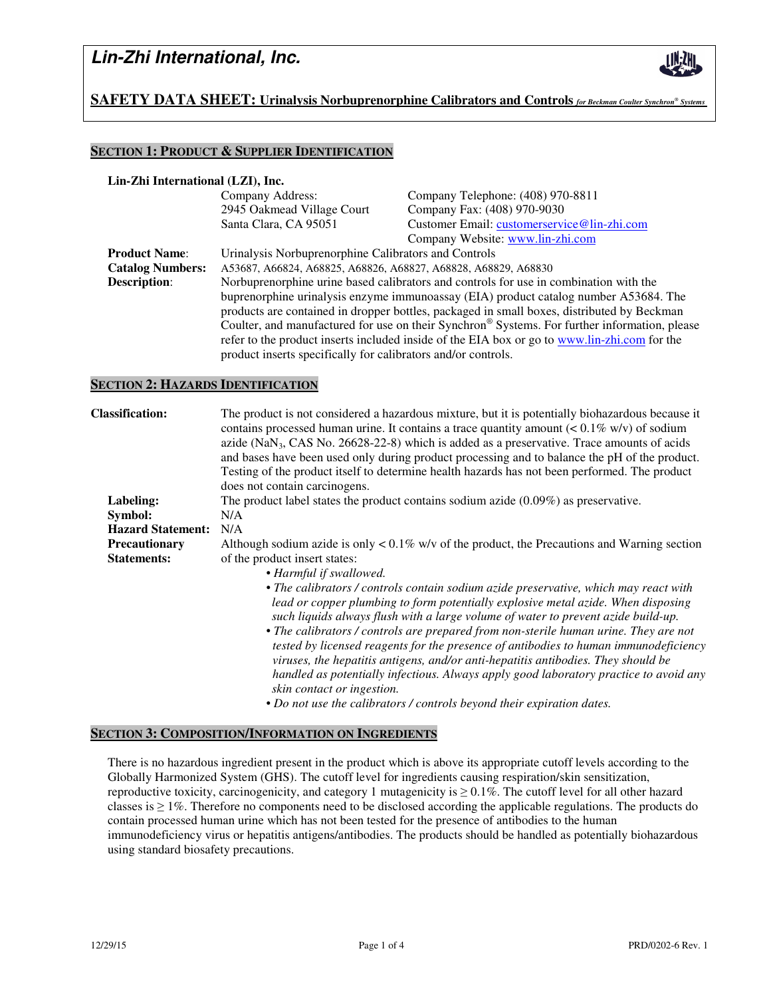

## **SAFETY DATA SHEET: Urinalysis Norbuprenorphine Calibrators and Controls** *for Beckman Coulter Synchron® Systems .*

### **SECTION 1: PRODUCT & SUPPLIER IDENTIFICATION**

#### **Lin-Zhi International (LZI), Inc.**

|                         | Company Address:                                                                              | Company Telephone: (408) 970-8811           |  |
|-------------------------|-----------------------------------------------------------------------------------------------|---------------------------------------------|--|
|                         | 2945 Oakmead Village Court                                                                    | Company Fax: (408) 970-9030                 |  |
|                         | Santa Clara, CA 95051                                                                         | Customer Email: customerservice@lin-zhi.com |  |
|                         |                                                                                               | Company Website: www.lin-zhi.com            |  |
| <b>Product Name:</b>    | Urinalysis Norbuprenorphine Calibrators and Controls                                          |                                             |  |
| <b>Catalog Numbers:</b> | A53687, A66824, A68825, A68826, A68827, A68828, A68829, A68830                                |                                             |  |
| <b>Description:</b>     | Norbuprenorphine urine based calibrators and controls for use in combination with the         |                                             |  |
|                         | buprenorphine urinalysis enzyme immunoassay (EIA) product catalog number A53684. The          |                                             |  |
|                         | products are contained in dropper bottles, packaged in small boxes, distributed by Beckman    |                                             |  |
|                         | Coulter, and manufactured for use on their Synchron® Systems. For further information, please |                                             |  |
|                         | refer to the product inserts included inside of the EIA box or go to www.lin-zhi.com for the  |                                             |  |
|                         | product inserts specifically for calibrators and/or controls.                                 |                                             |  |

#### **SECTION 2: HAZARDS IDENTIFICATION**

| <b>Classification:</b>   | The product is not considered a hazardous mixture, but it is potentially biohazardous because it<br>contains processed human urine. It contains a trace quantity amount $(< 0.1\%$ w/v) of sodium<br>azide ( $\text{NaN}_3$ , CAS No. 26628-22-8) which is added as a preservative. Trace amounts of acids<br>and bases have been used only during product processing and to balance the pH of the product.<br>Testing of the product itself to determine health hazards has not been performed. The product<br>does not contain carcinogens.                                                   |  |  |
|--------------------------|-------------------------------------------------------------------------------------------------------------------------------------------------------------------------------------------------------------------------------------------------------------------------------------------------------------------------------------------------------------------------------------------------------------------------------------------------------------------------------------------------------------------------------------------------------------------------------------------------|--|--|
| Labeling:                | The product label states the product contains sodium azide $(0.09\%)$ as preservative.                                                                                                                                                                                                                                                                                                                                                                                                                                                                                                          |  |  |
| Symbol:                  | N/A                                                                                                                                                                                                                                                                                                                                                                                                                                                                                                                                                                                             |  |  |
| <b>Hazard Statement:</b> | N/A                                                                                                                                                                                                                                                                                                                                                                                                                                                                                                                                                                                             |  |  |
| Precautionary            | Although sodium azide is only $< 0.1\%$ w/v of the product, the Precautions and Warning section                                                                                                                                                                                                                                                                                                                                                                                                                                                                                                 |  |  |
| <b>Statements:</b>       | of the product insert states:<br>• Harmful if swallowed.<br>• The calibrators / controls contain sodium azide preservative, which may react with<br>lead or copper plumbing to form potentially explosive metal azide. When disposing<br>such liquids always flush with a large volume of water to prevent azide build-up.<br>• The calibrators / controls are prepared from non-sterile human urine. They are not<br>tested by licensed reagents for the presence of antibodies to human immunodeficiency<br>viruses, the hepatitis antigens, and/or anti-hepatitis antibodies. They should be |  |  |
|                          | handled as potentially infectious. Always apply good laboratory practice to avoid any<br>skin contact or ingestion.<br>• Do not use the calibrators / controls beyond their expiration dates.                                                                                                                                                                                                                                                                                                                                                                                                   |  |  |

### **SECTION 3: COMPOSITION/INFORMATION ON INGREDIENTS**

There is no hazardous ingredient present in the product which is above its appropriate cutoff levels according to the Globally Harmonized System (GHS). The cutoff level for ingredients causing respiration/skin sensitization, reproductive toxicity, carcinogenicity, and category 1 mutagenicity is  $\geq 0.1\%$ . The cutoff level for all other hazard classes is  $\geq 1\%$ . Therefore no components need to be disclosed according the applicable regulations. The products do contain processed human urine which has not been tested for the presence of antibodies to the human immunodeficiency virus or hepatitis antigens/antibodies. The products should be handled as potentially biohazardous using standard biosafety precautions.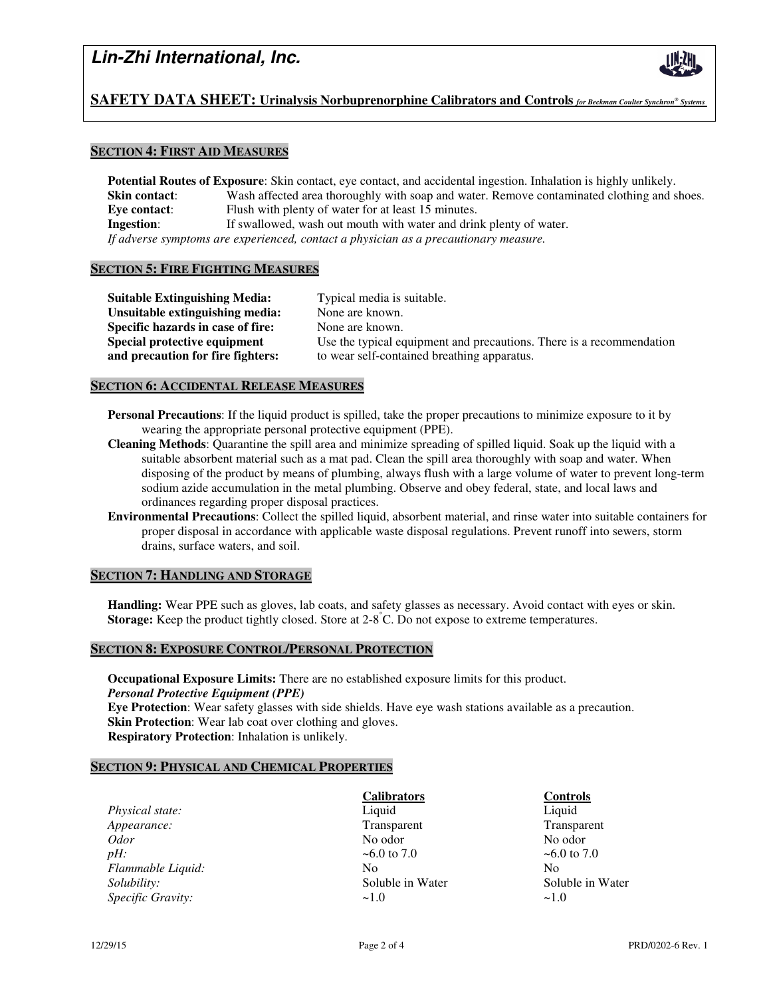

## **SAFETY DATA SHEET: Urinalysis Norbuprenorphine Calibrators and Controls** *for Beckman Coulter Synchron® Systems .*

### **SECTION 4: FIRST AID MEASURES**

**Potential Routes of Exposure**: Skin contact, eye contact, and accidental ingestion. Inhalation is highly unlikely. **Skin contact:** Wash affected area thoroughly with soap and water. Remove contaminated clothing and shoes. **Eye contact:** Flush with plenty of water for at least 15 minutes. **Ingestion:** If swallowed, wash out mouth with water and drink plenty of water. *If adverse symptoms are experienced, contact a physician as a precautionary measure.* 

#### **SECTION 5: FIRE FIGHTING MEASURES**

**Suitable Extinguishing Media:** Typical media is suitable. **Unsuitable extinguishing media:** None are known. **Specific hazards in case of fire:** None are known. **Special protective equipment** Use the typical equipment and precautions. There is a recommendation **and precaution for fire fighters:** to wear self-contained breathing apparatus.

#### **SECTION 6: ACCIDENTAL RELEASE MEASURES**

- **Personal Precautions**: If the liquid product is spilled, take the proper precautions to minimize exposure to it by wearing the appropriate personal protective equipment (PPE).
- **Cleaning Methods**: Quarantine the spill area and minimize spreading of spilled liquid. Soak up the liquid with a suitable absorbent material such as a mat pad. Clean the spill area thoroughly with soap and water. When disposing of the product by means of plumbing, always flush with a large volume of water to prevent long-term sodium azide accumulation in the metal plumbing. Observe and obey federal, state, and local laws and ordinances regarding proper disposal practices.
- **Environmental Precautions**: Collect the spilled liquid, absorbent material, and rinse water into suitable containers for proper disposal in accordance with applicable waste disposal regulations. Prevent runoff into sewers, storm drains, surface waters, and soil.

#### **SECTION 7: HANDLING AND STORAGE**

**Handling:** Wear PPE such as gloves, lab coats, and safety glasses as necessary. Avoid contact with eyes or skin. **Storage:** Keep the product tightly closed. Store at 2-8°C. Do not expose to extreme temperatures.

#### **SECTION 8: EXPOSURE CONTROL/PERSONAL PROTECTION**

**Occupational Exposure Limits:** There are no established exposure limits for this product. *Personal Protective Equipment (PPE)*  **Eye Protection**: Wear safety glasses with side shields. Have eye wash stations available as a precaution. **Skin Protection**: Wear lab coat over clothing and gloves. **Respiratory Protection**: Inhalation is unlikely.

#### **SECTION 9: PHYSICAL AND CHEMICAL PROPERTIES**

*Physical state:* **Liquid Liquid Liquid Liquid Liquid Liquid** *Appearance:* Transparent Transparent Transparent Transparent Transparent Odor No odor *Odor* No odor **No odor** No odor **No odor** No odor *pH:*  $\sim 6.0$  to 7.0  $\sim 6.0$  to 7.0 *Flammable Liquid:* No No No No No *Solubility:* Soluble in Water Soluble in Water Soluble in Water Soluble in Water *Specific Gravity:*  $\sim$ 1.0  $\sim$ 1.0  $\sim$ 1.0

 **Calibrators Controls**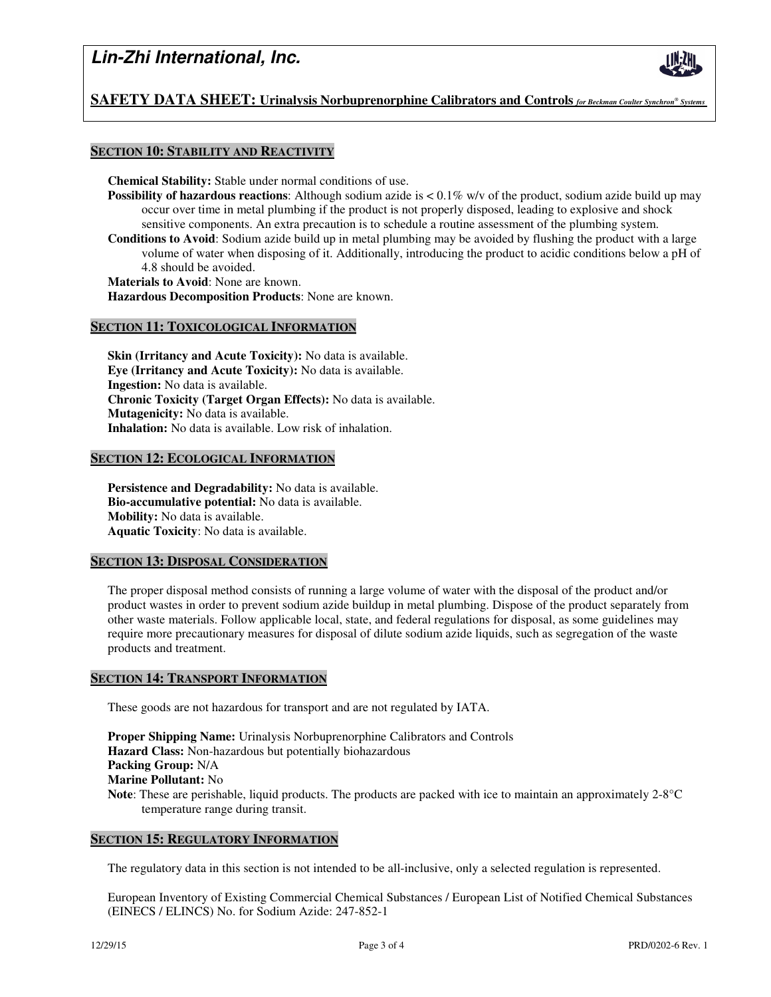

## **SAFETY DATA SHEET: Urinalysis Norbuprenorphine Calibrators and Controls** *for Beckman Coulter Synchron® Systems .*

### **SECTION 10: STABILITY AND REACTIVITY**

**Chemical Stability:** Stable under normal conditions of use.

- **Possibility of hazardous reactions**: Although sodium azide is  $\lt 0.1\%$  w/v of the product, sodium azide build up may occur over time in metal plumbing if the product is not properly disposed, leading to explosive and shock sensitive components. An extra precaution is to schedule a routine assessment of the plumbing system.
- **Conditions to Avoid**: Sodium azide build up in metal plumbing may be avoided by flushing the product with a large volume of water when disposing of it. Additionally, introducing the product to acidic conditions below a pH of 4.8 should be avoided.

**Materials to Avoid**: None are known.

**Hazardous Decomposition Products**: None are known.

#### **SECTION 11: TOXICOLOGICAL INFORMATION**

**Skin (Irritancy and Acute Toxicity):** No data is available. **Eye (Irritancy and Acute Toxicity):** No data is available. **Ingestion:** No data is available. **Chronic Toxicity (Target Organ Effects):** No data is available. **Mutagenicity:** No data is available. **Inhalation:** No data is available. Low risk of inhalation.

#### **SECTION 12: ECOLOGICAL INFORMATION**

**Persistence and Degradability:** No data is available. **Bio-accumulative potential:** No data is available. **Mobility:** No data is available. **Aquatic Toxicity**: No data is available.

#### **SECTION 13: DISPOSAL CONSIDERATION**

The proper disposal method consists of running a large volume of water with the disposal of the product and/or product wastes in order to prevent sodium azide buildup in metal plumbing. Dispose of the product separately from other waste materials. Follow applicable local, state, and federal regulations for disposal, as some guidelines may require more precautionary measures for disposal of dilute sodium azide liquids, such as segregation of the waste products and treatment.

#### **SECTION 14: TRANSPORT INFORMATION**

These goods are not hazardous for transport and are not regulated by IATA.

**Proper Shipping Name:** Urinalysis Norbuprenorphine Calibrators and Controls **Hazard Class:** Non-hazardous but potentially biohazardous **Packing Group:** N/A **Marine Pollutant:** No **Note**: These are perishable, liquid products. The products are packed with ice to maintain an approximately 2-8°C temperature range during transit.

#### **SECTION 15: REGULATORY INFORMATION**

The regulatory data in this section is not intended to be all-inclusive, only a selected regulation is represented.

European Inventory of Existing Commercial Chemical Substances / European List of Notified Chemical Substances (EINECS / ELINCS) No. for Sodium Azide: 247-852-1